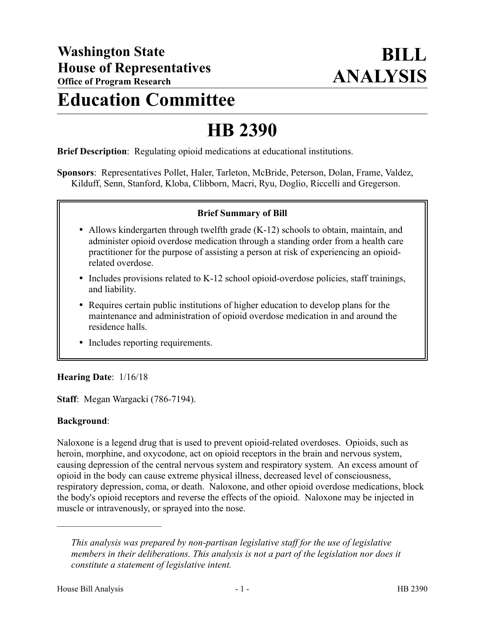# **Education Committee**

## **HB 2390**

**Brief Description**: Regulating opioid medications at educational institutions.

**Sponsors**: Representatives Pollet, Haler, Tarleton, McBride, Peterson, Dolan, Frame, Valdez, Kilduff, Senn, Stanford, Kloba, Clibborn, Macri, Ryu, Doglio, Riccelli and Gregerson.

#### **Brief Summary of Bill**

- Allows kindergarten through twelfth grade (K-12) schools to obtain, maintain, and administer opioid overdose medication through a standing order from a health care practitioner for the purpose of assisting a person at risk of experiencing an opioidrelated overdose.
- Includes provisions related to K-12 school opioid-overdose policies, staff trainings, and liability.
- Requires certain public institutions of higher education to develop plans for the maintenance and administration of opioid overdose medication in and around the residence halls.
- Includes reporting requirements.

## **Hearing Date**: 1/16/18

**Staff**: Megan Wargacki (786-7194).

#### **Background**:

Naloxone is a legend drug that is used to prevent opioid-related overdoses. Opioids, such as heroin, morphine, and oxycodone, act on opioid receptors in the brain and nervous system, causing depression of the central nervous system and respiratory system. An excess amount of opioid in the body can cause extreme physical illness, decreased level of consciousness, respiratory depression, coma, or death. Naloxone, and other opioid overdose medications, block the body's opioid receptors and reverse the effects of the opioid. Naloxone may be injected in muscle or intravenously, or sprayed into the nose.

––––––––––––––––––––––

*This analysis was prepared by non-partisan legislative staff for the use of legislative members in their deliberations. This analysis is not a part of the legislation nor does it constitute a statement of legislative intent.*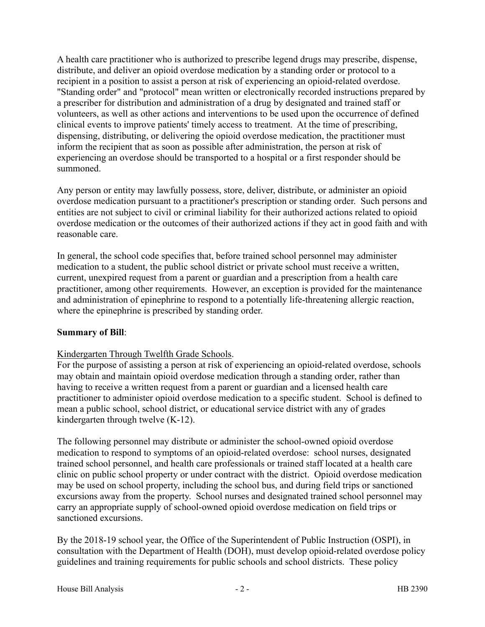A health care practitioner who is authorized to prescribe legend drugs may prescribe, dispense, distribute, and deliver an opioid overdose medication by a standing order or protocol to a recipient in a position to assist a person at risk of experiencing an opioid-related overdose. "Standing order" and "protocol" mean written or electronically recorded instructions prepared by a prescriber for distribution and administration of a drug by designated and trained staff or volunteers, as well as other actions and interventions to be used upon the occurrence of defined clinical events to improve patients' timely access to treatment. At the time of prescribing, dispensing, distributing, or delivering the opioid overdose medication, the practitioner must inform the recipient that as soon as possible after administration, the person at risk of experiencing an overdose should be transported to a hospital or a first responder should be summoned.

Any person or entity may lawfully possess, store, deliver, distribute, or administer an opioid overdose medication pursuant to a practitioner's prescription or standing order. Such persons and entities are not subject to civil or criminal liability for their authorized actions related to opioid overdose medication or the outcomes of their authorized actions if they act in good faith and with reasonable care.

In general, the school code specifies that, before trained school personnel may administer medication to a student, the public school district or private school must receive a written, current, unexpired request from a parent or guardian and a prescription from a health care practitioner, among other requirements. However, an exception is provided for the maintenance and administration of epinephrine to respond to a potentially life-threatening allergic reaction, where the epinephrine is prescribed by standing order.

## **Summary of Bill**:

## Kindergarten Through Twelfth Grade Schools.

For the purpose of assisting a person at risk of experiencing an opioid-related overdose, schools may obtain and maintain opioid overdose medication through a standing order, rather than having to receive a written request from a parent or guardian and a licensed health care practitioner to administer opioid overdose medication to a specific student. School is defined to mean a public school, school district, or educational service district with any of grades kindergarten through twelve (K-12).

The following personnel may distribute or administer the school-owned opioid overdose medication to respond to symptoms of an opioid-related overdose: school nurses, designated trained school personnel, and health care professionals or trained staff located at a health care clinic on public school property or under contract with the district. Opioid overdose medication may be used on school property, including the school bus, and during field trips or sanctioned excursions away from the property. School nurses and designated trained school personnel may carry an appropriate supply of school-owned opioid overdose medication on field trips or sanctioned excursions.

By the 2018-19 school year, the Office of the Superintendent of Public Instruction (OSPI), in consultation with the Department of Health (DOH), must develop opioid-related overdose policy guidelines and training requirements for public schools and school districts. These policy